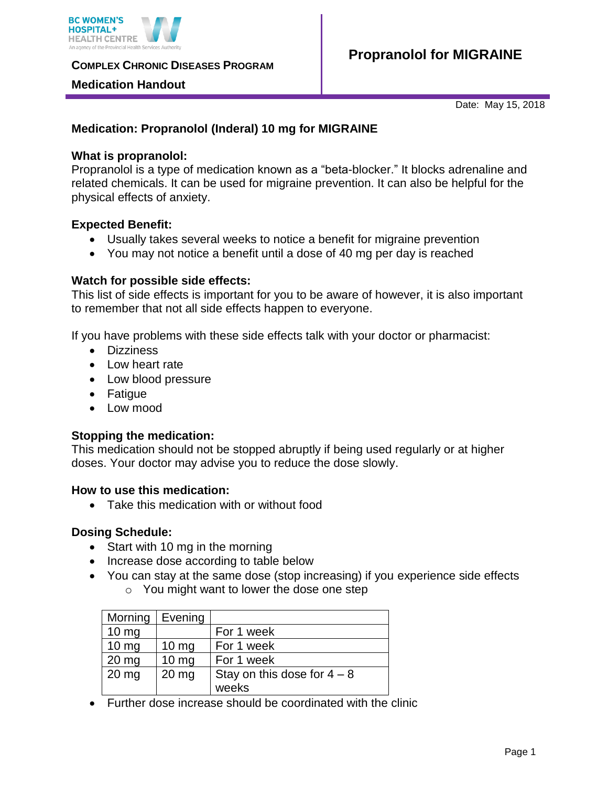

**COMPLEX CHRONIC DISEASES PROGRAM** 

# **Medication Handout**

Date: May 15, 2018

# **Medication: Propranolol (Inderal) 10 mg for MIGRAINE**

## **What is propranolol:**

Propranolol is a type of medication known as a "beta-blocker." It blocks adrenaline and related chemicals. It can be used for migraine prevention. It can also be helpful for the physical effects of anxiety.

# **Expected Benefit:**

- Usually takes several weeks to notice a benefit for migraine prevention
- You may not notice a benefit until a dose of 40 mg per day is reached

# **Watch for possible side effects:**

This list of side effects is important for you to be aware of however, it is also important to remember that not all side effects happen to everyone.

If you have problems with these side effects talk with your doctor or pharmacist:

- Dizziness
- Low heart rate
- Low blood pressure
- Fatique
- Low mood

# **Stopping the medication:**

This medication should not be stopped abruptly if being used regularly or at higher doses. Your doctor may advise you to reduce the dose slowly.

#### **How to use this medication:**

• Take this medication with or without food

#### **Dosing Schedule:**

- Start with 10 mg in the morning
- Increase dose according to table below
- You can stay at the same dose (stop increasing) if you experience side effects o You might want to lower the dose one step

| Morning         | Evening         |                               |
|-----------------|-----------------|-------------------------------|
| $10 \text{ mg}$ |                 | For 1 week                    |
| $10 \text{ mg}$ | $10 \text{ mg}$ | For 1 week                    |
| 20 mg           | $10 \text{ mg}$ | For 1 week                    |
| $20$ mg         | $20$ mg         | Stay on this dose for $4 - 8$ |
|                 |                 | weeks                         |

Further dose increase should be coordinated with the clinic